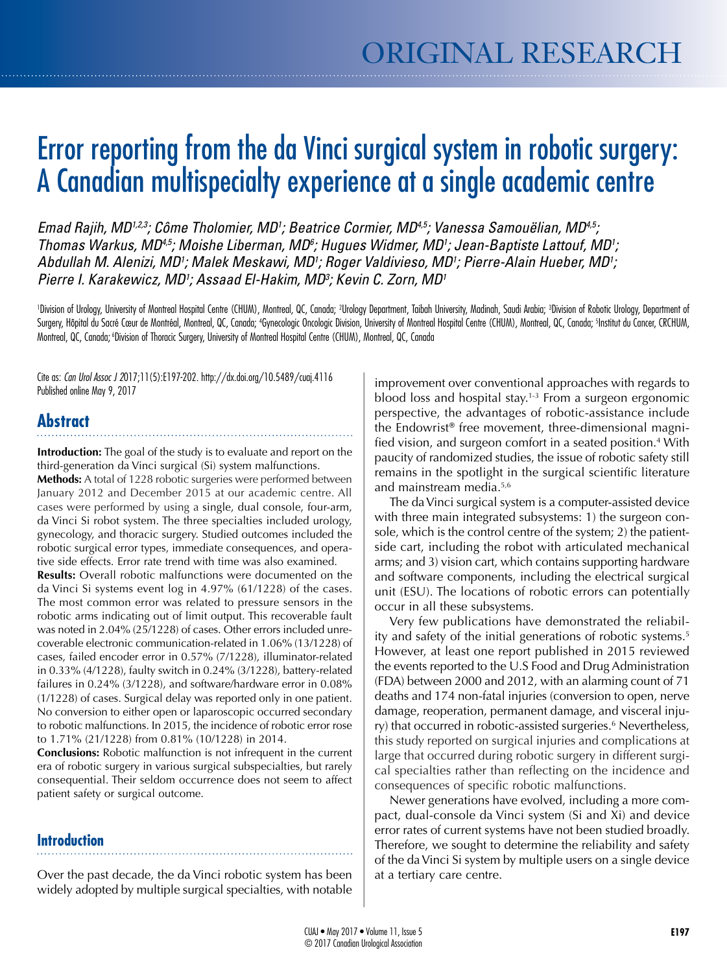# Error reporting from the da Vinci surgical system in robotic surgery: A Canadian multispecialty experience at a single academic centre

*Emad Rajih, MD1,2,3; Côme Tholomier, MD1 ; Beatrice Cormier, MD4,5; Vanessa Samouëlian, MD4,5; Thomas Warkus, MD<sup>4,5</sup>; Moishe Liberman, MD<sup>6</sup>; Hugues Widmer, MD<sup>1</sup>; Jean-Baptiste Lattouf, MD<sup>1</sup>; Abdullah M. Alenizi, MD1 ; Malek Meskawi, MD1 ; Roger Valdivieso, MD1 ; Pierre-Alain Hueber, MD1 ; Pierre I. Karakewicz, MD1 ; Assaad El-Hakim, MD3 ; Kevin C. Zorn, MD1*

'Division of Urology, University of Montreal Hospital Centre (CHUM), Montreal, QC, Canada; <sup>2</sup>Urology Department, Taibah University, Madinah, Saudi Arabia; <sup>3</sup>Division of Robotic Urology, Department of Surgery, Hôpital du Sacré Cœur de Montréal, Montreal, QC, Canada; 'Gynecologic Ocologic Division, University of Montreal Hospital Centre (CHUM), Montreal, QC, Canada; 'Institut du Cancer, CRCHUM, Montreal, QC, Canada; 6Division of Thoracic Surgery, University of Montreal Hospital Centre (CHUM), Montreal, QC, Canada

Cite as: *Can Urol Assoc J 2*017;11(5):E197-202. http://dx.doi.org/10.5489/cuaj.4116 Published online May 9, 2017

# **Abstract**

**Introduction:** The goal of the study is to evaluate and report on the third-generation da Vinci surgical (Si) system malfunctions.

**Methods:** A total of 1228 robotic surgeries were performed between January 2012 and December 2015 at our academic centre. All cases were performed by using a single, dual console, four-arm, da Vinci Si robot system. The three specialties included urology, gynecology, and thoracic surgery. Studied outcomes included the robotic surgical error types, immediate consequences, and operative side effects. Error rate trend with time was also examined.

**Results:** Overall robotic malfunctions were documented on the da Vinci Si systems event log in 4.97% (61/1228) of the cases. The most common error was related to pressure sensors in the robotic arms indicating out of limit output. This recoverable fault was noted in 2.04% (25/1228) of cases. Other errors included unrecoverable electronic communication-related in 1.06% (13/1228) of cases, failed encoder error in 0.57% (7/1228), illuminator-related in 0.33% (4/1228), faulty switch in 0.24% (3/1228), battery-related failures in 0.24% (3/1228), and software/hardware error in 0.08% (1/1228) of cases. Surgical delay was reported only in one patient. No conversion to either open or laparoscopic occurred secondary to robotic malfunctions. In 2015, the incidence of robotic error rose to 1.71% (21/1228) from 0.81% (10/1228) in 2014.

**Conclusions:** Robotic malfunction is not infrequent in the current era of robotic surgery in various surgical subspecialties, but rarely consequential. Their seldom occurrence does not seem to affect patient safety or surgical outcome.

## **Introduction**

Over the past decade, the da Vinci robotic system has been widely adopted by multiple surgical specialties, with notable

improvement over conventional approaches with regards to blood loss and hospital stay.<sup>1-3</sup> From a surgeon ergonomic perspective, the advantages of robotic-assistance include the Endowrist® free movement, three-dimensional magnified vision, and surgeon comfort in a seated position.4 With paucity of randomized studies, the issue of robotic safety still remains in the spotlight in the surgical scientific literature and mainstream media.5,6

The da Vinci surgical system is a computer-assisted device with three main integrated subsystems: 1) the surgeon console, which is the control centre of the system; 2) the patientside cart, including the robot with articulated mechanical arms; and 3) vision cart, which contains supporting hardware and software components, including the electrical surgical unit (ESU). The locations of robotic errors can potentially occur in all these subsystems.

Very few publications have demonstrated the reliability and safety of the initial generations of robotic systems.<sup>5</sup> However, at least one report published in 2015 reviewed the events reported to the U.S Food and Drug Administration (FDA) between 2000 and 2012, with an alarming count of 71 deaths and 174 non-fatal injuries (conversion to open, nerve damage, reoperation, permanent damage, and visceral injury) that occurred in robotic-assisted surgeries.<sup>6</sup> Nevertheless, this study reported on surgical injuries and complications at large that occurred during robotic surgery in different surgical specialties rather than reflecting on the incidence and consequences of specific robotic malfunctions.

Newer generations have evolved, including a more compact, dual-console da Vinci system (Si and Xi) and device error rates of current systems have not been studied broadly. Therefore, we sought to determine the reliability and safety of the da Vinci Si system by multiple users on a single device at a tertiary care centre.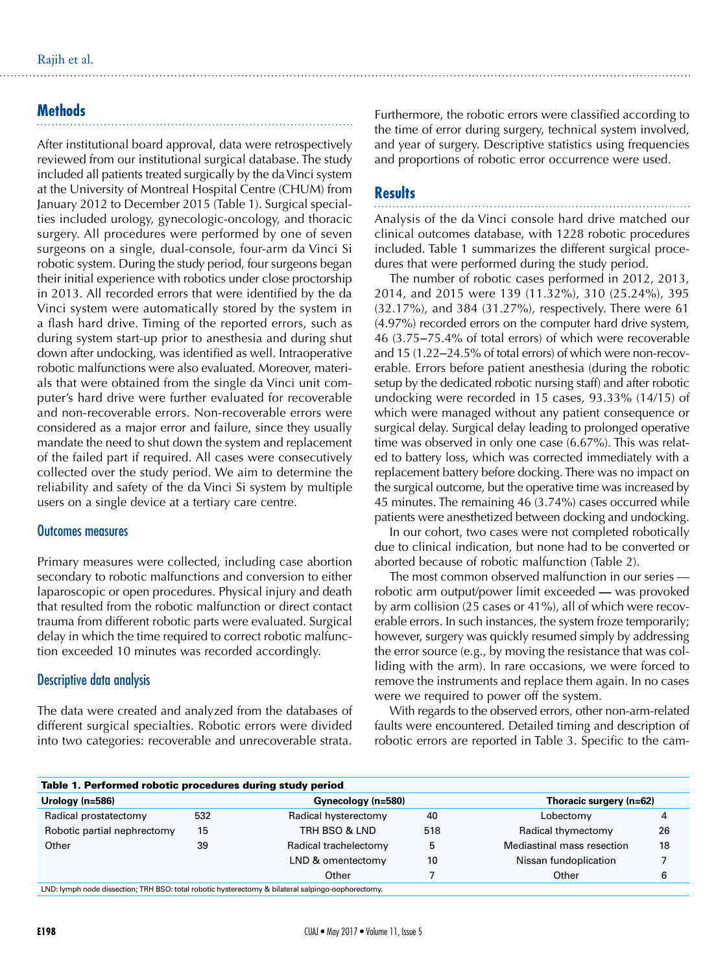## **Methods**

After institutional board approval, data were retrospectively reviewed from our institutional surgical database. The study included all patients treated surgically by the da Vinci system at the University of Montreal Hospital Centre (CHUM) from January 2012 to December 2015 (Table 1). Surgical specialties included urology, gynecologic-oncology, and thoracic surgery. All procedures were performed by one of seven surgeons on a single, dual-console, four-arm da Vinci Si robotic system. During the study period, four surgeons began their initial experience with robotics under close proctorship in 2013. All recorded errors that were identified by the da Vinci system were automatically stored by the system in a flash hard drive. Timing of the reported errors, such as during system start-up prior to anesthesia and during shut down after undocking, was identified as well. Intraoperative robotic malfunctions were also evaluated. Moreover, materials that were obtained from the single da Vinci unit computer's hard drive were further evaluated for recoverable and non-recoverable errors. Non-recoverable errors were considered as a major error and failure, since they usually mandate the need to shut down the system and replacement of the failed part if required. All cases were consecutively collected over the study period. We aim to determine the reliability and safety of the da Vinci Si system by multiple users on a single device at a tertiary care centre.

#### Outcomes measures

Primary measures were collected, including case abortion secondary to robotic malfunctions and conversion to either laparoscopic or open procedures. Physical injury and death that resulted from the robotic malfunction or direct contact trauma from different robotic parts were evaluated. Surgical delay in which the time required to correct robotic malfunction exceeded 10 minutes was recorded accordingly.

## Descriptive data analysis

The data were created and analyzed from the databases of different surgical specialties. Robotic errors were divided into two categories: recoverable and unrecoverable strata.

Furthermore, the robotic errors were classified according to the time of error during surgery, technical system involved, and year of surgery. Descriptive statistics using frequencies and proportions of robotic error occurrence were used.

## **Results**

Analysis of the da Vinci console hard drive matched our clinical outcomes database, with 1228 robotic procedures included. Table 1 summarizes the different surgical procedures that were performed during the study period.

The number of robotic cases performed in 2012, 2013, 2014, and 2015 were 139 (11.32%), 310 (25.24%), 395 (32.17%), and 384 (31.27%), respectively. There were 61 (4.97%) recorded errors on the computer hard drive system, 46 (3.75‒75.4% of total errors) of which were recoverable and 15 (1.22–24.5% of total errors) of which were non-recoverable. Errors before patient anesthesia (during the robotic setup by the dedicated robotic nursing staff) and after robotic undocking were recorded in 15 cases, 93.33% (14/15) of which were managed without any patient consequence or surgical delay. Surgical delay leading to prolonged operative time was observed in only one case (6.67%). This was related to battery loss, which was corrected immediately with a replacement battery before docking. There was no impact on the surgical outcome, but the operative time was increased by 45 minutes. The remaining 46 (3.74%) cases occurred while patients were anesthetized between docking and undocking.

In our cohort, two cases were not completed robotically due to clinical indication, but none had to be converted or aborted because of robotic malfunction (Table 2).

The most common observed malfunction in our series robotic arm output/power limit exceeded **—** was provoked by arm collision (25 cases or 41%), all of which were recoverable errors. In such instances, the system froze temporarily; however, surgery was quickly resumed simply by addressing the error source (e.g., by moving the resistance that was colliding with the arm). In rare occasions, we were forced to remove the instruments and replace them again. In no cases were we required to power off the system.

With regards to the observed errors, other non-arm-related faults were encountered. Detailed timing and description of robotic errors are reported in Table 3. Specific to the cam-

| Table 1. Performed robotic procedures during study period                                                           |     |                       |     |                            |    |  |  |  |  |  |
|---------------------------------------------------------------------------------------------------------------------|-----|-----------------------|-----|----------------------------|----|--|--|--|--|--|
| Urology ( $n = 586$ )                                                                                               |     | Gynecology (n=580)    |     | Thoracic surgery (n=62)    |    |  |  |  |  |  |
| Radical prostatectomy                                                                                               | 532 | Radical hysterectomy  | 40  | Lobectomy                  |    |  |  |  |  |  |
| Robotic partial nephrectomy                                                                                         | 15  | TRH BSO & LND         | 518 | Radical thymectomy         | 26 |  |  |  |  |  |
| Other                                                                                                               | 39  | Radical trachelectomy |     | Mediastinal mass resection | 18 |  |  |  |  |  |
|                                                                                                                     |     | LND & omentectomy     | 10  | Nissan fundoplication      |    |  |  |  |  |  |
|                                                                                                                     |     | Other                 |     | Other                      |    |  |  |  |  |  |
| $\overline{1}$ MD, based and discontant TDH DCO, total ackade become stages. 0. bilatead coluines no above to serve |     |                       |     |                            |    |  |  |  |  |  |

LND: lymph node dissection; TRH BSO: total robotic hysterectomy & bilateral s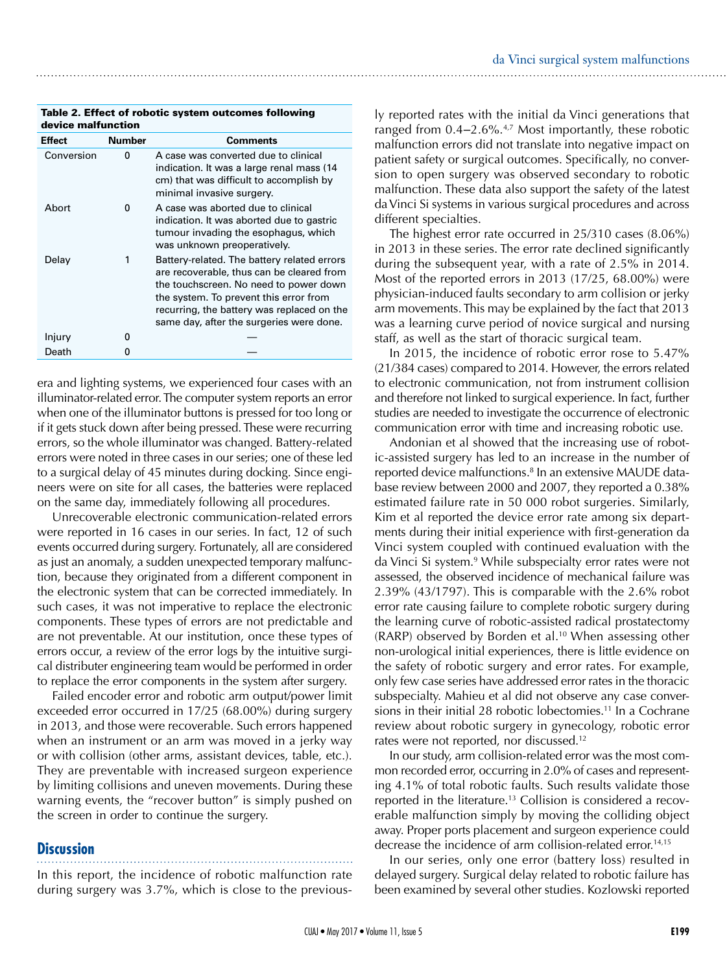| Table 2. Effect of robotic system outcomes following |  |
|------------------------------------------------------|--|
| device malfunction                                   |  |

| <b>Effect</b> | <b>Number</b> | <b>Comments</b>                                                                                                                                                                                                                                                        |
|---------------|---------------|------------------------------------------------------------------------------------------------------------------------------------------------------------------------------------------------------------------------------------------------------------------------|
| Conversion    | 0             | A case was converted due to clinical<br>indication. It was a large renal mass (14<br>cm) that was difficult to accomplish by<br>minimal invasive surgery.                                                                                                              |
| Abort         | 0             | A case was aborted due to clinical<br>indication. It was aborted due to gastric<br>tumour invading the esophagus, which<br>was unknown preoperatively.                                                                                                                 |
| Delay         | 1             | Battery-related. The battery related errors<br>are recoverable, thus can be cleared from<br>the touchscreen. No need to power down<br>the system. To prevent this error from<br>recurring, the battery was replaced on the<br>same day, after the surgeries were done. |
| Injury        | n             |                                                                                                                                                                                                                                                                        |
| Death         |               |                                                                                                                                                                                                                                                                        |

era and lighting systems, we experienced four cases with an illuminator-related error. The computer system reports an error when one of the illuminator buttons is pressed for too long or if it gets stuck down after being pressed. These were recurring errors, so the whole illuminator was changed. Battery-related errors were noted in three cases in our series; one of these led to a surgical delay of 45 minutes during docking. Since engineers were on site for all cases, the batteries were replaced on the same day, immediately following all procedures.

Unrecoverable electronic communication-related errors were reported in 16 cases in our series. In fact, 12 of such events occurred during surgery. Fortunately, all are considered as just an anomaly, a sudden unexpected temporary malfunction, because they originated from a different component in the electronic system that can be corrected immediately. In such cases, it was not imperative to replace the electronic components. These types of errors are not predictable and are not preventable. At our institution, once these types of errors occur, a review of the error logs by the intuitive surgical distributer engineering team would be performed in order to replace the error components in the system after surgery.

Failed encoder error and robotic arm output/power limit exceeded error occurred in 17/25 (68.00%) during surgery in 2013, and those were recoverable. Such errors happened when an instrument or an arm was moved in a jerky way or with collision (other arms, assistant devices, table, etc.). They are preventable with increased surgeon experience by limiting collisions and uneven movements. During these warning events, the "recover button" is simply pushed on the screen in order to continue the surgery.

## **Discussion**

In this report, the incidence of robotic malfunction rate

during surgery was 3.7%, which is close to the previous-

ly reported rates with the initial da Vinci generations that ranged from 0.4–2.6%.<sup>4,7</sup> Most importantly, these robotic malfunction errors did not translate into negative impact on patient safety or surgical outcomes. Specifically, no conversion to open surgery was observed secondary to robotic malfunction. These data also support the safety of the latest da Vinci Si systems in various surgical procedures and across different specialties.

The highest error rate occurred in 25/310 cases (8.06%) in 2013 in these series. The error rate declined significantly during the subsequent year, with a rate of 2.5% in 2014. Most of the reported errors in 2013 (17/25, 68.00%) were physician-induced faults secondary to arm collision or jerky arm movements. This may be explained by the fact that 2013 was a learning curve period of novice surgical and nursing staff, as well as the start of thoracic surgical team.

In 2015, the incidence of robotic error rose to 5.47% (21/384 cases) compared to 2014. However, the errors related to electronic communication, not from instrument collision and therefore not linked to surgical experience. In fact, further studies are needed to investigate the occurrence of electronic communication error with time and increasing robotic use.

Andonian et al showed that the increasing use of robotic-assisted surgery has led to an increase in the number of reported device malfunctions.<sup>8</sup> In an extensive MAUDE database review between 2000 and 2007, they reported a 0.38% estimated failure rate in 50 000 robot surgeries. Similarly, Kim et al reported the device error rate among six departments during their initial experience with first-generation da Vinci system coupled with continued evaluation with the da Vinci Si system.9 While subspecialty error rates were not assessed, the observed incidence of mechanical failure was 2.39% (43/1797). This is comparable with the 2.6% robot error rate causing failure to complete robotic surgery during the learning curve of robotic-assisted radical prostatectomy (RARP) observed by Borden et al.<sup>10</sup> When assessing other non-urological initial experiences, there is little evidence on the safety of robotic surgery and error rates. For example, only few case series have addressed error rates in the thoracic subspecialty. Mahieu et al did not observe any case conversions in their initial 28 robotic lobectomies.<sup>11</sup> In a Cochrane review about robotic surgery in gynecology, robotic error rates were not reported, nor discussed.12

In our study, arm collision-related error was the most common recorded error, occurring in 2.0% of cases and representing 4.1% of total robotic faults. Such results validate those reported in the literature.<sup>13</sup> Collision is considered a recoverable malfunction simply by moving the colliding object away. Proper ports placement and surgeon experience could decrease the incidence of arm collision-related error.<sup>14,15</sup>

In our series, only one error (battery loss) resulted in delayed surgery. Surgical delay related to robotic failure has been examined by several other studies. Kozlowski reported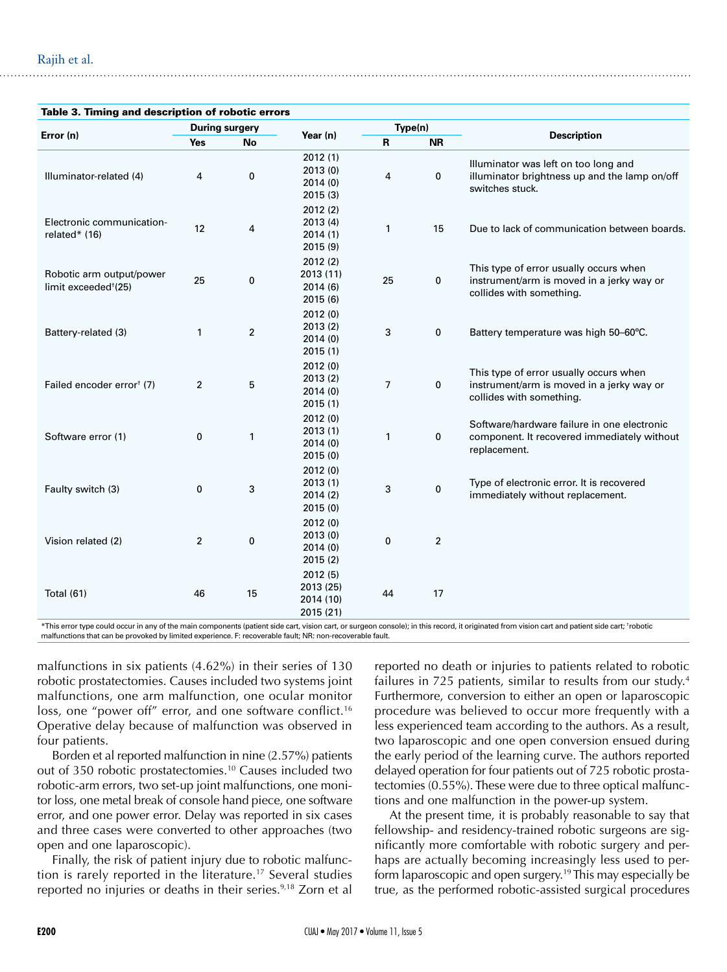| Table 3. Timing and description of robotic errors            |                       |                |                                                |                |                |                                                                                                                 |  |  |
|--------------------------------------------------------------|-----------------------|----------------|------------------------------------------------|----------------|----------------|-----------------------------------------------------------------------------------------------------------------|--|--|
| Error (n)                                                    | <b>During surgery</b> |                |                                                | Type(n)        |                |                                                                                                                 |  |  |
|                                                              | Yes                   | <b>No</b>      | Year (n)                                       | R              | <b>NR</b>      | <b>Description</b>                                                                                              |  |  |
| Illuminator-related (4)                                      | $\overline{4}$        | 0              | 2012(1)<br>2013(0)<br>2014(0)<br>2015 (3)      | $\overline{4}$ | 0              | Illuminator was left on too long and<br>illuminator brightness up and the lamp on/off<br>switches stuck.        |  |  |
| Electronic communication-<br>related* (16)                   | 12                    | 4              | 2012(2)<br>2013(4)<br>2014(1)<br>2015 (9)      | 1              | 15             | Due to lack of communication between boards.                                                                    |  |  |
| Robotic arm output/power<br>limit exceeded <sup>+</sup> (25) | 25                    | $\bf{0}$       | 2012(2)<br>2013 (11)<br>2014(6)<br>2015(6)     | 25             | 0              | This type of error usually occurs when<br>instrument/arm is moved in a jerky way or<br>collides with something. |  |  |
| Battery-related (3)                                          | 1                     | $\overline{2}$ | 2012(0)<br>2013(2)<br>2014(0)<br>2015(1)       | 3              | 0              | Battery temperature was high 50-60°C.                                                                           |  |  |
| Failed encoder error <sup>†</sup> (7)                        | $\overline{2}$        | 5              | 2012(0)<br>2013 (2)<br>2014(0)<br>2015(1)      | $\overline{7}$ | 0              | This type of error usually occurs when<br>instrument/arm is moved in a jerky way or<br>collides with something. |  |  |
| Software error (1)                                           | 0                     | 1              | 2012 (0)<br>2013(1)<br>2014(0)<br>2015(0)      | $\mathbf{1}$   | 0              | Software/hardware failure in one electronic<br>component. It recovered immediately without<br>replacement.      |  |  |
| Faulty switch (3)                                            | 0                     | 3              | 2012(0)<br>2013(1)<br>2014(2)<br>2015(0)       | 3              | 0              | Type of electronic error. It is recovered<br>immediately without replacement.                                   |  |  |
| Vision related (2)                                           | $\overline{2}$        | 0              | 2012(0)<br>2013(0)<br>2014(0)<br>2015(2)       | 0              | $\overline{2}$ |                                                                                                                 |  |  |
| <b>Total (61)</b>                                            | 46                    | 15             | 2012(5)<br>2013 (25)<br>2014 (10)<br>2015 (21) | 44             | 17             |                                                                                                                 |  |  |

\*This error type could occur in any of the main components (patient side cart, vision cart, or surgeon console); in this record, it originated from vision cart and patient side cart; † robotic malfunctions that can be provoked by limited experience. F: recoverable fault; NR: non-recoverable fault.

malfunctions in six patients (4.62%) in their series of 130 robotic prostatectomies. Causes included two systems joint malfunctions, one arm malfunction, one ocular monitor loss, one "power off" error, and one software conflict.<sup>16</sup> Operative delay because of malfunction was observed in four patients.

Borden et al reported malfunction in nine (2.57%) patients out of 350 robotic prostatectomies.10 Causes included two robotic-arm errors, two set-up joint malfunctions, one monitor loss, one metal break of console hand piece, one software error, and one power error. Delay was reported in six cases and three cases were converted to other approaches (two open and one laparoscopic).

Finally, the risk of patient injury due to robotic malfunction is rarely reported in the literature.17 Several studies reported no injuries or deaths in their series.<sup>9,18</sup> Zorn et al

reported no death or injuries to patients related to robotic failures in 725 patients, similar to results from our study.<sup>4</sup> Furthermore, conversion to either an open or laparoscopic procedure was believed to occur more frequently with a less experienced team according to the authors. As a result, two laparoscopic and one open conversion ensued during the early period of the learning curve. The authors reported delayed operation for four patients out of 725 robotic prostatectomies (0.55%). These were due to three optical malfunctions and one malfunction in the power-up system.

At the present time, it is probably reasonable to say that fellowship- and residency-trained robotic surgeons are significantly more comfortable with robotic surgery and perhaps are actually becoming increasingly less used to perform laparoscopic and open surgery.<sup>19</sup> This may especially be true, as the performed robotic-assisted surgical procedures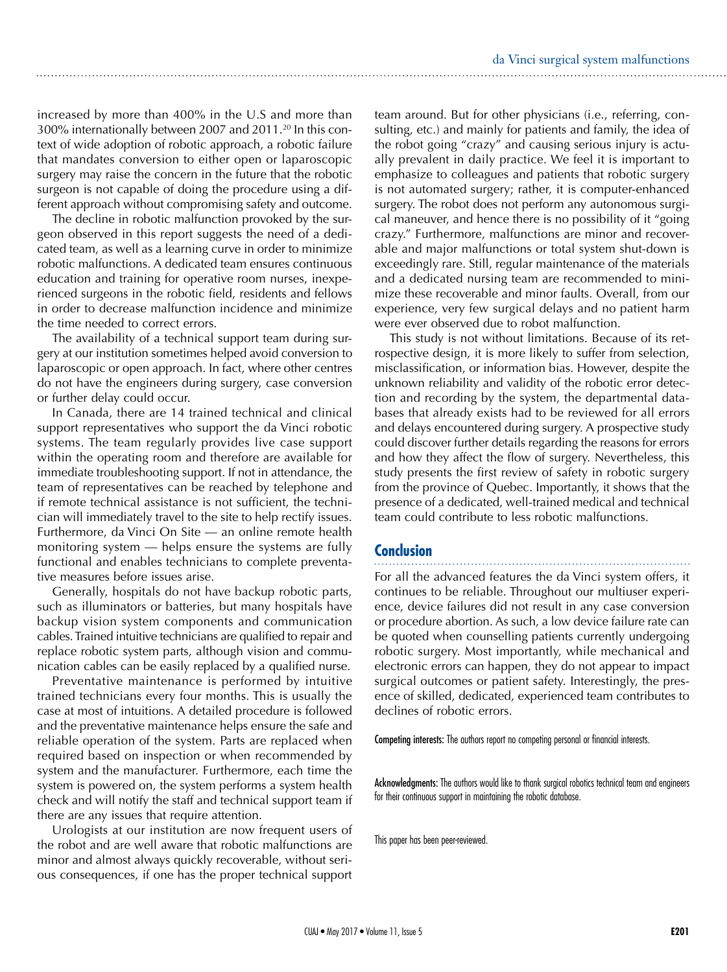increased by more than 400% in the U.S and more than 300% internationally between 2007 and 2011.<sup>20</sup> In this context of wide adoption of robotic approach, a robotic failure that mandates conversion to either open or laparoscopic surgery may raise the concern in the future that the robotic surgeon is not capable of doing the procedure using a different approach without compromising safety and outcome.

The decline in robotic malfunction provoked by the surgeon observed in this report suggests the need of a dedicated team, as well as a learning curve in order to minimize robotic malfunctions. A dedicated team ensures continuous education and training for operative room nurses, inexperienced surgeons in the robotic field, residents and fellows in order to decrease malfunction incidence and minimize the time needed to correct errors.

The availability of a technical support team during surgery at our institution sometimes helped avoid conversion to laparoscopic or open approach. In fact, where other centres do not have the engineers during surgery, case conversion or further delay could occur.

In Canada, there are 14 trained technical and clinical support representatives who support the da Vinci robotic systems. The team regularly provides live case support within the operating room and therefore are available for immediate troubleshooting support. If not in attendance, the team of representatives can be reached by telephone and if remote technical assistance is not sufficient, the technician will immediately travel to the site to help rectify issues. Furthermore, da Vinci On Site — an online remote health monitoring system — helps ensure the systems are fully functional and enables technicians to complete preventative measures before issues arise.

Generally, hospitals do not have backup robotic parts, such as illuminators or batteries, but many hospitals have backup vision system components and communication cables. Trained intuitive technicians are qualified to repair and replace robotic system parts, although vision and communication cables can be easily replaced by a qualified nurse.

Preventative maintenance is performed by intuitive trained technicians every four months. This is usually the case at most of intuitions. A detailed procedure is followed and the preventative maintenance helps ensure the safe and reliable operation of the system. Parts are replaced when required based on inspection or when recommended by system and the manufacturer. Furthermore, each time the system is powered on, the system performs a system health check and will notify the staff and technical support team if there are any issues that require attention.

Urologists at our institution are now frequent users of the robot and are well aware that robotic malfunctions are minor and almost always quickly recoverable, without serious consequences, if one has the proper technical support team around. But for other physicians (i.e., referring, consulting, etc.) and mainly for patients and family, the idea of the robot going "crazy" and causing serious injury is actually prevalent in daily practice. We feel it is important to emphasize to colleagues and patients that robotic surgery is not automated surgery; rather, it is computer-enhanced surgery. The robot does not perform any autonomous surgical maneuver, and hence there is no possibility of it "going crazy." Furthermore, malfunctions are minor and recoverable and major malfunctions or total system shut-down is exceedingly rare. Still, regular maintenance of the materials and a dedicated nursing team are recommended to minimize these recoverable and minor faults. Overall, from our experience, very few surgical delays and no patient harm were ever observed due to robot malfunction.

This study is not without limitations. Because of its retrospective design, it is more likely to suffer from selection, misclassification, or information bias. However, despite the unknown reliability and validity of the robotic error detection and recording by the system, the departmental databases that already exists had to be reviewed for all errors and delays encountered during surgery. A prospective study could discover further details regarding the reasons for errors and how they affect the flow of surgery. Nevertheless, this study presents the first review of safety in robotic surgery from the province of Quebec. Importantly, it shows that the presence of a dedicated, well-trained medical and technical team could contribute to less robotic malfunctions.

#### **Conclusion**

For all the advanced features the da Vinci system offers, it continues to be reliable. Throughout our multiuser experience, device failures did not result in any case conversion or procedure abortion. As such, a low device failure rate can be quoted when counselling patients currently undergoing robotic surgery. Most importantly, while mechanical and electronic errors can happen, they do not appear to impact surgical outcomes or patient safety. Interestingly, the presence of skilled, dedicated, experienced team contributes to declines of robotic errors.

Competing interests: The authors report no competing personal or financial interests.

Acknowledgments: The authors would like to thank surgical robotics technical team and engineers for their continuous support in maintaining the robotic database.

This paper has been peer-reviewed.